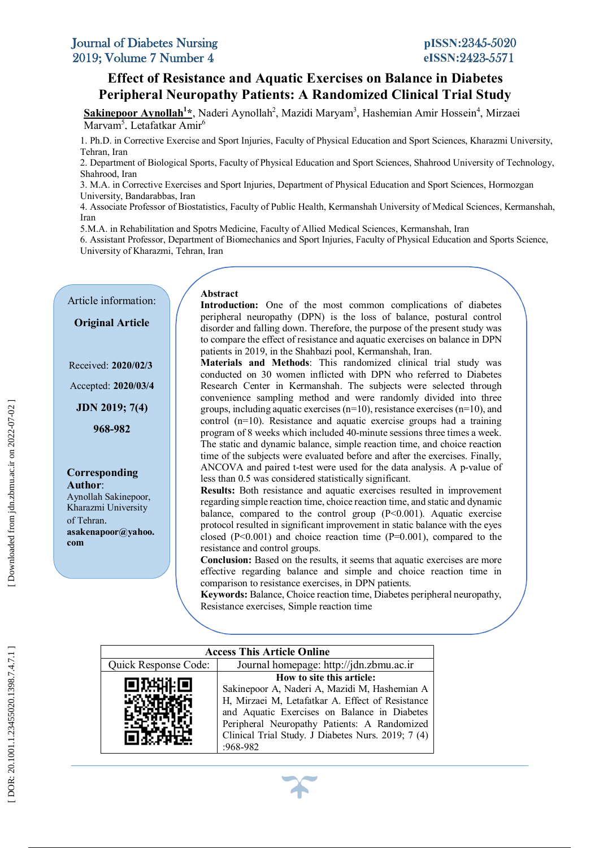# **Peripheral Neuropathy Patients: A Randomized Clinical Trial Study Effect of Resistance and Aquatic Exercises on Balance in Diabetes**

Sakinepoor Aynollah<sup>1</sup>\*, Naderi Aynollah<sup>2</sup>, Mazidi Maryam<sup>3</sup>, Hashemian Amir Hossein<sup>4</sup>, Mirzaei Marvam<sup>5</sup>. Letafatkar Amir<sup>6</sup>

 1. Ph.D. in Corrective Exercise and Sport Injuries, Faculty of Physical Education and Sport Sciences, Kharazmi University, Tehran, Iran

2. Department of Biological Sports, Faculty of Physical Education and Sport Sciences, Shahrood University of Technology, Shahrood, Iran

 3. M.A. in Corrective Exercises and Sport Injuries, Department of Physical Education and Sport Sciences, Hormozgan University, Bandarabbas, Iran

 4. Associate Professor of Biostatistics, Faculty of Public Health, Kermanshah University of Medical Sciences, Kermanshah, Iran

5.M.A. in Rehabilitation and Spotrs Medicine, Faculty of Allied Medical Sciences, Kermanshah, Iran

 6. Assistant Professor, Department of Biomechanics and Sport Injuries, Faculty of Physical Education and Sports Science,  University of Kharazmi, Tehran, Iran

Article information:

**Original Article**

Received: **2020/02/3**

Accepted: **2020/03/4**

**JDN 2019; 7( 4 )**

**968 -982**

# **Corresponding**

**Author**: Aynollah Sakinepoor, Kharazmi University of Tehran . **asakenapoor@yahoo. com**

# **Abstract**

**Introduction:** One of the most common complications of diabetes disorder and falling down. Therefore, the purpose of the present study was<br>the compare the officet of register as and equation curvius on helenes in DPM patients in 2019, in the Shahbazi pool, Kermanshah, Iran.<br>Materials, and Mathods: This randomized clinical peripheral neuropathy (DPN) is the loss of balance, postural control to compare the effect of resistance and aquatic exercises on balance in DPN

**Conducted on 30 women inflicted with DPN who referred to Diabetes**<br>Research Center in Kermanshab, The subjects were selected through convenience sampling method and were randomly divided into three groups, including aquatic exercises (n=10), resistance exercises (n=10), and control (n=10). Resistance and aquatic exercise groups had a training<br>program of 8 weeks which included 40-minute sessions three times a week. In the static and dynamic balance, simple reaction time, and choice reaction<br>time of the subjects were evaluated before and after the exercises. Finally,  less than 0.5 was considered statistically significant. **Materials and Methods**: This randomized clinical trial study was Research Center in Kermanshah. The subjects were selected through convenience sampling method and were randomly divided into three control (n=10). Resistance and aquatic exercise groups had a training The static and dynamic balance, simple reaction time, and choice reaction ANCOVA and paired t -test were used for the data analysis. A p -value of

 regarding simple reaction time, choice reaction time, and static and dynamic protocol resulted in significant improvement in static balance with the eyes  resistance and control groups. **Results:** Both resistance and aquatic exercises resulted in improvement balance, compared to the control group  $(P<0.001)$ . Aquatic exercise closed  $(P<0.001)$  and choice reaction time  $(P=0.001)$ , compared to the

effective regarding balance and simple and choice reaction time in **Conclusion:** Based on the results, it seems that aquatic exercises are more comparison to resistance exercises, in DPN patients.

 **Keywords:** Balance, Choice reaction time, Diabetes peripheral neuropathy, Resistance exercises, Simple reaction time

| <b>Access This Article Online</b> |                                                                                                                                                                                                                                                                                                    |  |  |  |  |
|-----------------------------------|----------------------------------------------------------------------------------------------------------------------------------------------------------------------------------------------------------------------------------------------------------------------------------------------------|--|--|--|--|
| <b>Quick Response Code:</b>       | Journal homepage: http://jdn.zbmu.ac.ir                                                                                                                                                                                                                                                            |  |  |  |  |
|                                   | How to site this article:<br>Sakinepoor A, Naderi A, Mazidi M, Hashemian A<br>H, Mirzaei M, Letafatkar A. Effect of Resistance<br>and Aquatic Exercises on Balance in Diabetes<br>Peripheral Neuropathy Patients: A Randomized<br>Clinical Trial Study. J Diabetes Nurs. 2019; 7 (4)<br>$-968-982$ |  |  |  |  |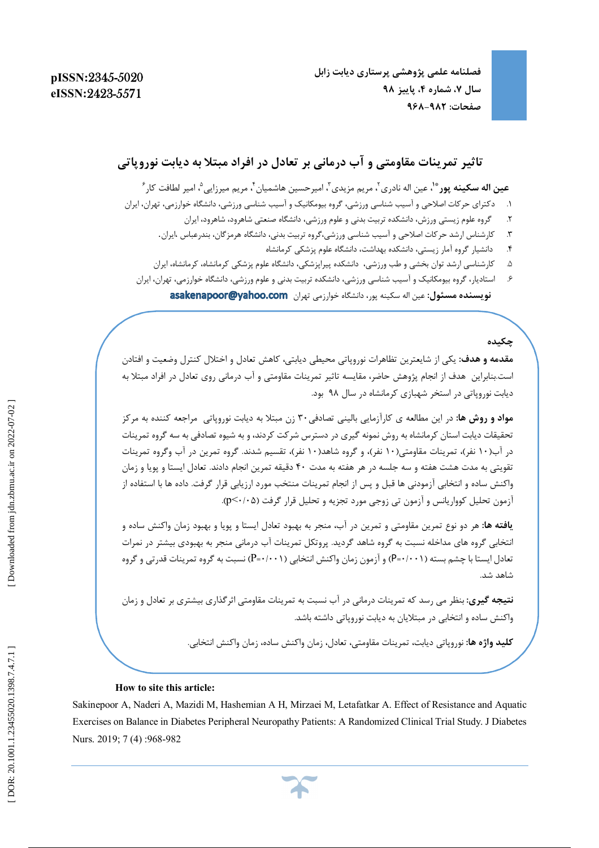**فصلنامه علمی پژوهشی پرستاري دیابت زابل ، پاییز 98 ، شماره 4 سال 7 968 صفحات: -982**

# **آب درمانی بر تعادل در افراد مبتلا به دیابت نوروپاتی تاثیر تمرینات مقاومتی و**

عی**ن اله سکینه پور \*ْ،** عین اله نادری <sup>۲</sup>، مریم مزیدی <sup>۳</sup>، امیرحسین هاشمیان ٔ، مریم میرزایی ْ، امیر لطافت کار ٔ

- .1 دکتراي حرکات اصلاحی و آسیب شناسی ورزشی، گروه بیومکانیک و آسیب شناسی ورزشی، دانشگاه خوارزمی، تهران، ایران
	- ۲. گروه علوم زيستي ورزش، دانشكده تربيت بدني و علوم ورزشي، دانشگاه صنعتي شاهرود، شاهرود، ايران
	- ۳. کارشناس ارشد حرکات اصلاحی و آسیب شناسی ورزشی،گروه تربیت بدنی، دانشگاه هرمزگان، بندرعباس ،ایران.
		- .4 دانشیار گروه آمار زیستی، دانشکده بهداشت، دانشگاه علوم پزشکی کرمانشاه
	- .5 کارشناسی ارشد توان بخشی و طب ورزشی، دانشکده پیراپزشکی، دانشگاه علوم پزشکی کرمانشاه، کرمانشاه، ایران
	- .6 استادیار، گروه بیومکانیک و آسیب شناسی ورزشی، دانشکده تربیت بدنی و علوم ورزشی، دانشگاه خوارزمی، تهران، ایران دانشگاه خوارزمی تهران **نویسنده مسئول:** عین اله سکینه پور،

# **چکیده**

**مقدمه و هدف:** یکی از شایعترین تظاهرات نوروپاتی محیطی دیابتی، کاهش تعادل و اختلال کنترل وضعیت و افتادن است.بنابراین هدف از انجام پژوهش حاضر، مقایسه تاثیر تمرینات مقاومتی و آب درمانی روی تعادل در افراد مبتلا به دیابت نوروپاتی در استخر شهبازي کرمانشاه در سال 98 بود.

**مواد و روش ها:** در این مطالعه ي کارآزمایی بالینی تصادفی30 زن مبتلا به دیابت نوروپاتی مراجعه کننده به مرکز تحقیقات دیابت استان کرمانشاه به روش نمونه گیري در دسترس شرکت کردند، و به شیوه تصادفی به سه گروه تمرینات در آب(۱۰ نفر)، تمرینات مقاومتی(۱۰ نفر)، و گروه شاهد(۱۰ نفر)، تقسیم شدند. گروه تمرین در آب وگروه تمرینات تقویتی به مدت هشت هفته و سه جلسه در هر هفته به مدت ۴۰ دقیقه تمرین انجام دادند. تعادل ایستا و پویا و زمان واکنش ساده و انتخابی آزمودنی ها قبل و پس از انجام تمرینات منتخب مورد ارزیابی قرار گرفت. داده ها با استفاده از آزمون تحلیل کوواریانس و آزمون تی زوجی مورد تجزیه و تحلیل قرار گرفت (p<٠/٠۵).

**یافته ها:** هر دو نوع تمرین مقاومتی و تمرین در آب، منجر به بهبود تعادل ایستا و پویا و بهبود زمان واکنش ساده و انتخابی گروه هاي مداخله نسبت به گروه شاهد گردید. پروتکل تمرینات آب درمانی منجر به بهبودي بیشتر در نمرات تعادل ایستا با چشم بسته (P=۰/۰۰۱) و آزمون زمان واکنش انتخابی (P=۰/۰۰۱) نسبت به گروه تمرینات قدرتی و گروه شاهد شد.

**نتیجه گیری:** بنظر می رسد که تمرینات درمانی در آب نسبت به تمرینات مقاومتی اثرگذاری بیشتری بر تعادل و زمان واکنش ساده و انتخابی در مبتلایان به دیابت نوروپاتی داشته باشد.

**کلید واژه ها:** نوروپاتی دیابت، تمرینات مقاومتی، تعادل، زمان واکنش ساده، زمان واکنش انتخابی.

#### **How to site this article:**

Sakinepoor A, Naderi A, Mazidi M, Hashemian A H, Mirzaei M, Letafatkar A. Effect of Resistance and Aquatic Exercises on Balance in Diabetes Peripheral Neuropathy Patients: A Randomized Clinical Trial Study. J Diabetes Nurs. 2019; 7 (4) :968 -982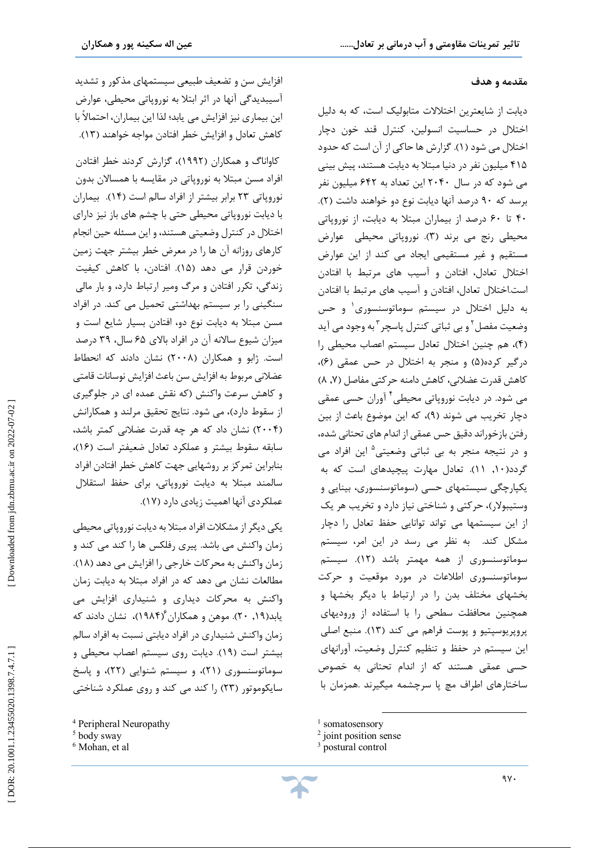#### **مقدمه و هدف**

j

لیل دیابت از شایعترین اختلالات متابولیک است، که به د اختلال در حساسیت انسولین، کنترل قند خون دچار اختلال می شود (۱). گزارش ها حاکی از آن است که حدود ۴۱۵ میلیون نفر در دنیا مبتلا به دیابت هستند، پیش بینی می شود که در سال 2040 این تعداد به 642 میلیون نفر . ( 2 برسد که 90 درصد آنها دیابت نوع دو خواهند داشت ( 40 تا 60 درصد از بیماران مبتلا به دیابت، از نوروپاتی محیطی رنج می برند (۳). نوروپاتی محیطی حوارض مستقیم و غیر مستقیمی ایجاد می کند از این عوارض اختلال تعادل، افتادن و آسیب هاي مرتبط با افتادن است.اختلال تعادل، افتادن و آسیب هاي مرتبط با افتادن به دلیل اختلال در سیستم سوماتوسنسوري 1 و حس وضعیت مفصل<sup>۲</sup> و بی ثباتی کنترل پاسچر<sup>۳</sup> به وجود می آید ، هم چنین اختلال تعادل سیستم اعصاب محیطی را ( 4 ) درگیر کرده(۵) و منجر به اختلال در حس عمقی (۶)، ( 8 , 7 کاهش قدرت عضلانی، کاهش دامنه حرکتی مفاصل ( می شود. در دیابت نوروپاتی محیطی آوران حسی عمقی <sup>4</sup> دچار تخریب می شوند (۹)، که این موضوع باعث از بین رفتن بازخوراند دقیق حس عمقی از اندام هاي تحتانی شده، در نتیجه منجر به بی ثباتی وضعیتی و 5 این افراد می گردد(۱۰, ۱۱). تعادل مهارت پیچیدهای است که به یکپارچگی سیستمهاي حسی (سوماتوسنسوري، بینایی و وستیبولار)، حرکتی و شناختی نیاز دارد و تخریب هر یک از این سیستمها می تواند توانایی حفظ تعادل را دچار مشکل کند. به نظر می رسد در این امر، سیستم 12). سیستم سوماتوسنسوري از همه مهمتر باشد ( حرکت سوماتوسنسوري اطلاعات در مورد موقعیت و بخشهاي مختلف بدن را در ارتباط با دیگر بخشها و همچنین محافظت سطحی را با استفاده از ورودیهاي پروپریوسپتیو و پوست فراهم می کند (۱۳). منبع اصلی این سیستم در حفظ و تنظیم کنترل وضعیت، آورانهای حسی عمقی هستند که از اندام تحتانی به خصوص ساختارهاي اطراف مچ پا سرچشمه میگیرند .همزمان با

 $\overline{\phantom{a}}$ 

کاواناگ و همکاران (۱۹۹۲)، گزارش کردند خطر افتادن افراد مسن مبتلا به نوروپاتی در مقایسه با همسالان بدون نوروپاتی ۲۳ برابر بیشتر از افراد سالم است (۱۴). بیماران با دیابت نوروپاتی محیطی حتی با چشم های باز نیز دارای اختلال در کنترل وضعیتی هستند، و این مسئله حین انجام کارهاي روزانه آن ها را در معرض خطر بیشتر جهت زمین خوردن قرار می دهد (۱۵). افتادن، با کاهش کیفیت زندگی، تکرر افتادن و مرگ ومیر ارتباط دارد، و بار مالی سنگینی را بر سیستم بهداشتی تحمیل می کند. در افراد<br>مسن مبتلا به دیابت نوع دو، افتادن بسیار شایع است و میزان شیوع سالانه آن در افراد بالاي 65 سال، 39 درصد است. ژابو و همکاران (۲۰۰۸) نشان دادند که انحطاط عضلانی مربوط به افزایش سن باعث افزایش نوسانات قامتی کاهش سرعت واکنش (که نقش عمده اي در جلوگیري و از سقوط دارد)، می شود. نتایج تحقیق مرلند و همکارانش 2004) نشان داد که هر چه قدرت عضلانی کمتر باشد، ) سابقه سقوط بیشتر و عملکرد تعادل ضعیفتر است (۱۶)، بنابراین تمرکز بر روشهایی جهت کاهش خطر افتادن افراد سالمند مبتلا به دیابت نوروپاتی، براي حفظ استقلال .(17 عملکردي آنها اهمیت زیادي دارد (

یکی دیگر از مشکلات افراد مبتلا به دیابت نوروپاتی محیطی زمان واکنش می باشد. پیري رفلکس ها را کند می کند و . (18 زمان واکنش به محرکات خارجی را افزایش می دهد ( مطالعات نشان می دهد که در افراد مبتلا به دیابت زمان واکنش به محرکات دیداري و شنیداري افزایش می یابد(۱۹, ۲۰). موهن و همکاران ۱۹۸۴)، نشان دادند که زمان واکنش شنیداري در افراد دیابتی نسبت به افراد سالم بیشتر است (١٩). دیابت روی سیستم اعصاب محیطی و سوماتوسنسوری (۲۱)، و سیستم شنوایی (۲۲)، و پاسخ سایکوموتور (۲۳) را کند می کند و روی عملکرد شناختی

<sup>&</sup>lt;sup>1</sup> somatosensory

<sup>2</sup> joint position sense

<sup>&</sup>lt;sup>3</sup> postural control

<sup>4</sup> Peripheral Neuropathy

<sup>5</sup> body sway

<sup>&</sup>lt;sup>6</sup> Mohan, et al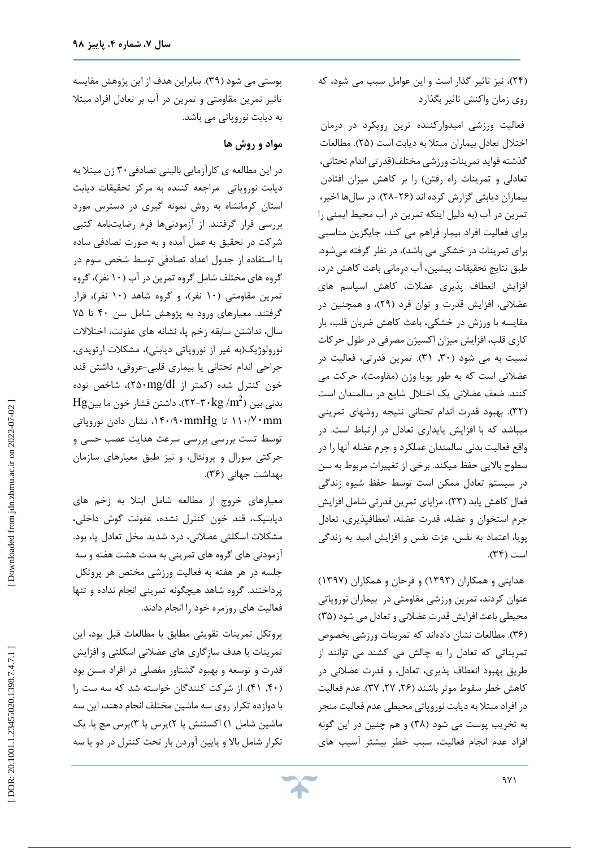، نیز تاثیر گذار است و این عوامل سبب می شود، که (24 ) روي زمان واکنش تاثیر بگذارد

فعالیت ورزشی امیدوارکننده ترین رویکرد در درمان اختلال تعادل بیماران مبتلا به دیابت است (۲۵). مطالعات گذشته فواید تمرینات ورزشی مختلف(قدرتی اندام تحتانی، تعادلی و تمرینات راه رفتن) را بر کاهش میزان افتادن بیماران دیابتی گزارش کرده اند (۲۶–۲۸). در سالها اخیر، تمرین در آب (به دلیل اینکه تمرین در آب محیط ایمنی را براي فعالیت افراد بیمار فراهم می کند، جایگزین مناسبی براي تمرینات در خشکی می باشد)، در نظر گرفته میشود. طبق نتایج تحقیقات پیشین، آب درمانی باعث کاهش درد، افزایش انعطاف پذیري عضلات، کاهش اسپاسم هاي عضلانی، افزایش قدرت و توان فرد (۲۹)، و همچنین در مقایسه با ورزش در خشکی، باعث کاهش ضربان قلب، بار<br>کاری قلب، افزایش میزان اکسیژن مصرفی در طول حرکات نسبت به می شود (۳۰, ۳۱). تمرین قدرتی، فعالیت در عضلاتی است که به طور پویا وزن (مقاومت)، حرکت می کنند. ضعف عضلانی یک اختلال شایع در سالمندان است (۳۲). بهبود قدرت اندام تحتانی نتیجه روشهای تمرینی میباشد که با افزایش پایداري تعادل در ارتباط است. در واقع فعالیت بدنی سالمندان عملکرد و جرم عضله آنها را در سطوح بالایی حفظ میکند. برخی از تغییرات مربوط به سن در سیستم تعادل ممکن است توسط حفظ شیوه زندگی فعال کاهش یابد (۳۳). مزایای تمرین قدرتی شامل افزایش جرم استخوان و عضله، قدرت عضله، انعطافپذیري، تعادل پویا، اعتماد به نفس، عزت نفس و افزایش امید به زندگی است (۳۴).

هدایتی و همکاران (۱۳۹۳) و فرحان و همکاران (۱۳۹۷) عنوان کردند، تمرین ورزشی مقاومتی در بیماران نوروپاتی<br>محیطی باعث افزایش قدرت عضلانی و تعادل می شود (۳۵) (۳۶). مطالعات نشان دادهاند که تمرینات ورزشی بخصوص تمریناتی که تعادل را به چالش می کشند می توانند از طریق بهبود انعطاف پذیری، تعادل، و قدرت عضلانی در كاهش خطر سقوط موثر باشند (۲۶, ۲۷, ۳۷). عدم فعالیت در افراد مبتلا به دیابت نوروپاتی محیطی عدم فعالیت منجر به تخریب پوست می شود (۳۸) و هم چنین در این گونه افراد عدم انجام فعالیت، سبب خطر بیشتر آسیب هاي

پوستی می شود (۳۹). بنابراین هدف از این پژوهش مقایسه تاثیر تمرین مقاومتی و تمرین در آب بر تعادل افراد مبتلا به دیابت نوروپاتی می باشد.

### **مواد و روش ها**

در این مطالعه ی کارآزمایی بالینی تصادفی ۳۰ زن مبتلا به دیابت نوروپاتی مراجعه کننده به مرکز تحقیقات دیابت استان کرمانشاه به روش نمونه گیري در دسترس مورد بررسی قرار گرفتند. از آزمودنیها فرم رضایتنامه کتبی<br>شرکت در تحقیق به عمل آمده و به صورت تصادفی ساده با استفاده از جدول اعداد تصادفی توسط شخص سوم در گروه های مختلف شامل گروه تمرین در آب (۱۰ نفر)، گروه تمرین مقاومتی (۱۰ نفر)، و گروه شاهد (۱۰ نفر)، قرار گرفتند. معیارهاي ورود به پژوهش شامل سن 40 تا 75 سال، نداشتن سابقه زخم پا، نشانه هاي عفونت، اختلالات نورولوژیک(به غیر از نوروپاتی دیابتی)، مشکلات ارتوپدی، جراحی اندام تحتانی یا بیماری قلبی-عروقی، داشتن قند کمتر از ۲۵۰mg/dl)، شاخص توده  $\rm{Hg}$ بدنی بین (7 $\rm{G/N-1}$ 7 بدنی بین ( - $\rm{G/N}$ 7 بین نشان دادن نوروپاتی ،140 110 تا mmHg/90 /٧٠mm توسط تست بررسی بررسی سرعت هدایت عصب حسی و حرکتی سورال و پرونئال، و نیز طبق معیارهای سازمان . (36 بهداشت جهانی (

معیارهاي خروج از مطالعه شامل ابتلا به زخم هاي دیابتیک، قند خون کنترل نشده، عفونت گوش داخلی،<br>مشکلات اسکلتی عضلانی، درد شدید مخل تعادل پا، بود. سه آزمودنی هاي گروه هاي تمرینی به مدت هشت هفته و جلسه در هر هفته به فعالیت ورزشی مختص هر پروتکل پرداختند. گروه شاهد هیچگونه تمرینی انجام نداده و تنها فعالیت هاي روزمره خود را انجام دادند.

پروتکل تمرینات تقویتی مطابق با مطالعات قبل بود، این تمرینات با هدف سازگاري هاي عضلانی اسکلتی و افزایش قدرت و توسعه و بهبود گشتاور مفصلی در افراد مسن بود . از شرکت کنندگان خواسته شد که سه ست را (41 ,40 ) با دوازده تکرار روي سه ماشین مختلف انجام دهند، این سه ماشین شامل ۱) اکستنش پا ۲)پرس پا ۳)پرس مچ پا. یک تکرار شامل بالا و پایین آوردن بار تحت کنترل در دو یا سه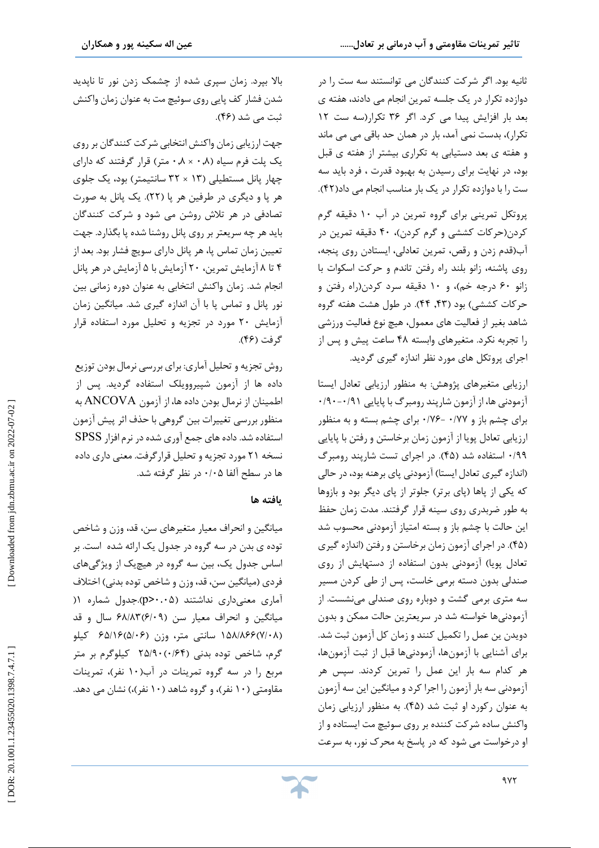ثانیه بود. اگر شرکت کنندگان می توانستند سه ست را در دوازده تکرار در یک جلسه تمرین انجام می دادند، هفته ي بعد بار افزایش پیدا می کرد. اگر 36 تکرار(سه ست 12 تکرار)، بدست نمی آمد، بار در همان حد باقی می می ماند و هفته ي بعد دستیابی به تکراري بیشتر از هفته ي قبل بود، در نهایت براي رسیدن به بهبود قدرت ، فرد باید سه ست را با دوازده تکرار در یک بار مناسب انجام می داد(۴۲).

پروتکل تمرینی براي گروه تمرین در آب 10 دقیقه گرم کردن(حرکات کششی و گرم کردن)، ۴۰ دقیقه تمرین در آب(قدم زدن و رقص، تمرين تعادلي، ايستادن روي پنجه، ا حرکت اسکوات ب روي پاشنه، زانو بلند راه رفتن تاندم و زانو ۶۰ درجه خم)، و ۱۰ دقیقه سرد کردن(راه رفتن و حرکات کششی) بود (۴۳, ۴۴). در طول هشت هفته گروه شاهد بغیر از فعالیت هاي معمول، هیچ نوع فعالیت ورزشی را تجربه نکرد. متغیرهای وابسته ۴۸ ساعت پیش و پس از اجراي پروتکل هاي مورد نظر اندازه گیري گردید.

آرزیابی متغیرهای پژوهش: به منظور ارزیابی تعادل ایستا<br>آزمودنی ها، از آزمون شارپند رومبرگ با پایایی ۰/۹۰-۰/۱۰ برای چشم باز و ۰/۷۷ -۱۷۶- برای چشم بسته و به منظور ارزیابی تعادل پویا از آزمون زمان برخاستن و رفتن با پایایی ۰/۹۹ استفاده شد (۴۵). در اجرای تست شارپند رومبرگ اندازه گیري تعادل ایستا) آزمودنی پاي برهنه بود، در حالی ) که یکی از پاها (پای برتر) جلوتر از پای دیگر بود و بازوها به طور ضربدری روی سینه قرار گرفتند. مدت زمان حفظ<br>این حالت با چشم باز و بسته امتیاز آزمودنی محسوب شد (۴۵). در اجراي آزمون زمان برخاستن و رفتن (اندازه گيري تعادل پویا) آزمودنی بدون استفاده از دستهایش از روی<br>صندلی بدون دسته برمی خاست، پس از طی کردن مسیر سه متری برمی گشت و دوباره روی صندلی مینشست. از آزمودنیها خواسته شد در سریعترین حالت ممکن و بدون دویدن ین عمل را تکمیل کنند و زمان کل آزمون ثبت شد. براي آشنایی با آزمونها، آزمودنیها قبل از ثبت آزمونها، هر کدام سه بار این عمل را تمرین کردند. سپس هر آزمودنی سه بار آزمون را اجرا کرد و میانگین این سه آزمون به عنوان رکورد او ثبت شد (۴۵). به منظور ارزیابی زمان از واکنش ساده شرکت کننده بر روي سوئیچ مت ایستاده و او درخواست می شود که در پاسخ به محرك نور، به سرعت

بالا بپرد. زمان سپري شده از چشمک زدن نور تا ناپدید شدن فشار کف پایی روي سوئیچ مت به عنوان زمان واکنش ثبت می شد (۴۶).

جهت ارزيابي زمان واكنش انتخابي شركت كنندگان بر روي یک پلت فرم سیاه (۰٫۸× ۰٫۸ متر) قرار گرفتند که دارای چهار پانل مستطیلی (۱۳ × ۳۲ سانتیمتر) بود، یک جلوی هر پا و دیگری در طرفین هر پا (۲۲). یک پانل به صورت تصادفی در هر تلاش روشن می شود و شرکت کنندگان باید هر چه سریعتر بر روي پانل روشنا شده پا بگذارد. جهت تعیین زمان تماس پا، هر پانل داراي سویچ فشار بود. بعد از ۴ تا ۸ آزمایش تمرین، ۲۰ آزمایش با ۵ آزمایش در هر پانل انجام شد. زمان واکنش انتخابی به عنوان دوره زمانی بین نور پانل و تماس پا با آن اندازه گیری شد. میانگین زمان آزمایش ۲۰ مورد در تجزیه و تحلیل مورد استفاده قرار گرفت (۴۶).

روش تجزیه و تحلیل آماري: براي بررسی نرمال بودن توزیع داده ها از آزمون شپیروویلک استفاده گردید. پس از اطمینان از نرمال بودن داده ها، از آزمون ANCOVA به منظور بررسی تغییرات بین گروهی با حذف اثر پیش آزمون استفاده شد. دادههاي جمع آوري شدهدر نرم افزار SPSS نسخه ۲۱ مورد تجزیه و تحلیل قرارگرفت. معنی داری داده ها در سطح آلفا ۰/۰۵ در نظر گرفته شد.

# **یافته ها**

میانگین و انحراف معیار متغیرهاي سن، قد، وزن و شاخص توده ي بدن در سه گروه در جدول یک ارائه شده است. بر اساس جدول یک، بین سه گروه در هیچیک از ویژگیهای<br>فردی (میانگین سن، قد، وزن و شاخص توده بدنی) اختلاف ) .جدول شماره 1 (p > 0 .05 آماري معنیداري نداشتند ( میانگین و انحراف معیار سن ۶۸/۸۳٬۶/۰۹ سال و قد ۱۵۸/۸۶۶(۷/۰۸) سانتی متر، وزن (۶۵/۱۶(۵/۰۶ کیلو گرم، شاخص توده بدنی (۲۵/۹۰،۰/۶۴ کیلوگرم بر متر مربع را در سه گروه تمرینات در آب(۱۰ نفر)، تمرینات مقاومتی (۱۰ نفر)، و گروه شاهد (۱۰ نفر)،) نشان می دهد.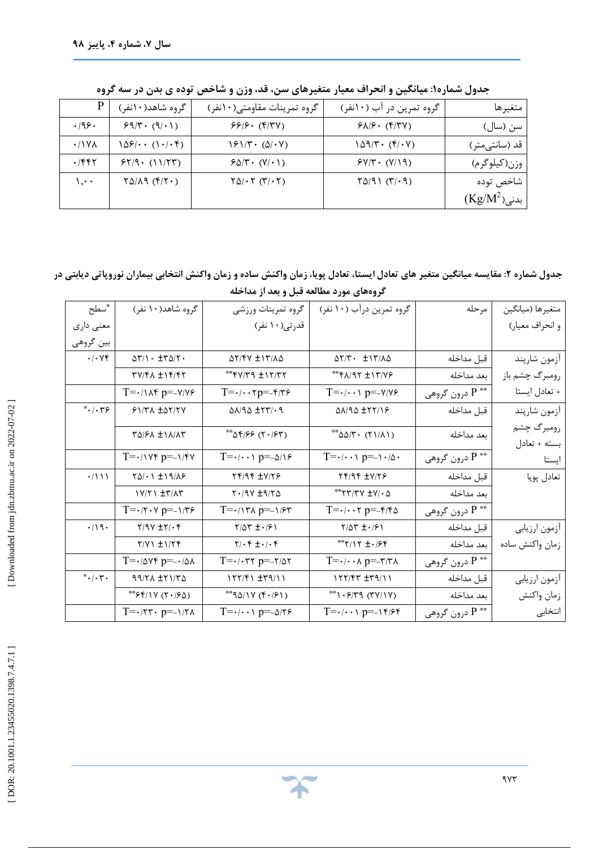|                 | گروه شاهد(۱۰نفر)                                      | گروه تمرینات مقاومتی(۱۰نفر)                                                  | گروه تمرین در آب (۱۰نفر)                    | متغيرها             |
|-----------------|-------------------------------------------------------|------------------------------------------------------------------------------|---------------------------------------------|---------------------|
| .199.           | $59/7 \cdot (9/1)$                                    | $99/9.$ (۴/۳۷)                                                               | $9\lambda$ / $9\cdot$ ( $9$ / $7\gamma$ )   | سن (سال)            |
| $\cdot$ /\YA    | $1\Delta f/\cdots$ (1./.f)                            | $\sqrt{2}$ $\sqrt{7}$ $\cdot$ $\left(\frac{\Delta}{r} \cdot \sqrt{2}\right)$ | $109/T \cdot (F/\cdot V)$                   | قد (سانتی متر)      |
| ۰/۴۴۲           | $55/9 \cdot (1)/57$                                   | $F\Delta/\Upsilon$ $\cdot$ $(V/\cdot)$                                       | $f(\gamma/\gamma \cdot (\gamma/\gamma))$    | وزن(کیلوگرم)        |
| $\mathcal{C}$ . | $\Gamma \Delta / \Lambda$ ( $\Gamma / \Gamma \cdot$ ) | $\Gamma \Delta / \cdot \Gamma (\Upsilon / \cdot \Upsilon)$                   | $Y\Delta/\varphi\setminus (Y/\cdot\varphi)$ | شاخص توده           |
|                 |                                                       |                                                                              |                                             | $(\rm Kg/M^2)$ ېدنى |

**: میانگین و انحراف معیار متغیرهاي سن، قد، وزن و شاخص توده ي بدن در سه گروه جدول شماره1**

Ï **: مقایسه میانگین متغیر هاي تعادل ایستا، تعادل پویا، زمان واکنش ساده و زمان واکنش انتخابی بیماران نوروپاتی دیابتی در جدول شماره 2 گروههاي مورد مطالعه قبل و بعد از مداخله** 

| سطح"                                             | گروه شاهد(۱۰ نفر)                                             | گروه تمرينات ورزشي                                          | گروه تمرین درآب (۱۰ نفر)                                     | مرحله                      | متغيرها (ميانگين |
|--------------------------------------------------|---------------------------------------------------------------|-------------------------------------------------------------|--------------------------------------------------------------|----------------------------|------------------|
| معنی داری                                        |                                                               | قدرتی(١٠ نفر)                                               |                                                              |                            | و انحراف معيار)  |
| بين گروهي                                        |                                                               |                                                             |                                                              |                            |                  |
| $\cdot/\cdot$ YF                                 | $\Delta \Upsilon/\Upsilon$ + $\pm \Upsilon \Delta/\Upsilon$ . | <b>AT/FV ±1٣/٨۵</b>                                         | $\Delta \Upsilon/\Upsilon \cdot \pm \Upsilon/\Lambda \Delta$ | قبل مداخله                 | أزمون شارپند     |
|                                                  | TV/FA ±1F/FT                                                  |                                                             | **************                                               | بعد مداخله                 | رومبرگ چشم باز   |
|                                                  | $T = \cdot / \sqrt{r} p = -\sqrt{r} p$                        | $T = \cdot / \cdot \cdot \tau p = -\frac{\epsilon}{T}$      | $T = \cdot / \cdot \cdot \cdot p = -\frac{V}{V}$             | درون گروهي $\mathrm{P}$    | + تعادل ايستا    |
| $^*$ $\cdot$ $\mid$ $\cdot$ $\uparrow$ $\varphi$ | $51/TA \pm \Delta Y/7V$                                       | $\Delta\lambda/\text{Q} \pm \text{YY} \cdot \text{Q}$       | <b>QA/9Q ±۲۲/16</b>                                          | قبل مداخله                 | آزمون شارپند     |
|                                                  | TQ/FA ±1A/AT                                                  | (۲۰/۶۳) ۵۴/۶۶                                               | ** $ΔΔ/γ$ ( $γ$ ) $/λ$ )                                     | بعد مداخله                 | رومبرگ چشم       |
|                                                  |                                                               |                                                             |                                                              |                            | بسته + تعادل     |
|                                                  | $T = \cdot / \sqrt{r} p = -\sqrt{r} \sqrt{r}$                 | $T = \cdot / \cdot \cdot \cdot p = -\Delta / \sqrt{5}$      | $T = \cdot / \cdot \cdot \cdot p = - \cdot / \delta$         | درون گروهي $\mathrm{P}$ ** | ايستا            |
| $\cdot/$ \ \ \                                   | $Y \Delta / \cdot 1 \pm 19 / \Lambda$                         | $Yf/9f \pm Y/79$                                            | <b>TF/9F ±V/7F</b>                                           | قبل مداخله                 | تعادل پويا       |
|                                                  | <b>IV/ TI ± ٣/٨٣</b>                                          | $Y \cdot (9Y \pm 9)Y \Delta$                                | $\Delta$ - \V+ V7\7**                                        | بعد مداخله                 |                  |
|                                                  | $T = \cdot$ $/ \tau \cdot \nu$ $p = -\frac{1}{\tau \epsilon}$ | $T = \cdot \wedge \tau \wedge p = -\wedge \mathcal{F} \tau$ | $T = \cdot / \cdot \cdot \tau$ $p = -\frac{\epsilon}{\pi}$   | درون گروهي $\mathrm{P}$    |                  |
| $\cdot/\bigwedge$                                | $Y/9V \pm Y/\cdot Y$                                          | $Y/\Delta Y \pm \cdot 191$                                  | $Y/\Delta Y \pm \cdot$ /۶۱                                   | قبل مداخله                 | آزمون ارزيابي    |
|                                                  | $Y/Y \rightarrow \pm 1/T$                                     | $\gamma/\cdot f \pm \cdot/\cdot f$                          | ****/17 ± . /۶۴                                              | بعد مداخله                 | زمان واكنش ساده  |
|                                                  | $T = -10Yf p = -10A$                                          | $T = \cdot$ / $\cdot \tau \tau$ p=- $\tau$ /۵۲              | $T = \cdot / \cdot \cdot \wedge p = -\tau / \tau \wedge$     | درون گروهي $\mathrm{P}$ ** |                  |
| $\cdot/\cdot$ ۳.                                 | $99/7A \pm 71/70$                                             | $157/51 \pm 79/11$                                          | $1177/FT \pm 79/11$                                          | قبل مداخله                 | أزمون ارزيابي    |
|                                                  | (۲۰۱۶۵) ۶۴/۱۷                                                 | $*$ ۹۵/۱۷ (۴۰/۶۱)                                           | $*$ $(YY Y)$ $(YY Y)$                                        | بعد مداخله                 | زمان واكنش       |
|                                                  | $T = \cdot 77 \cdot p = -177$                                 | $T = \cdot / \cdot \cdot \cdot p = -\Delta / \tau$          | $T = \cdot / \cdot \cdot \cdot p = -\frac{1}{\sqrt{5}}$      | درون گروهي $\mathrm{P}$    | انتخابى          |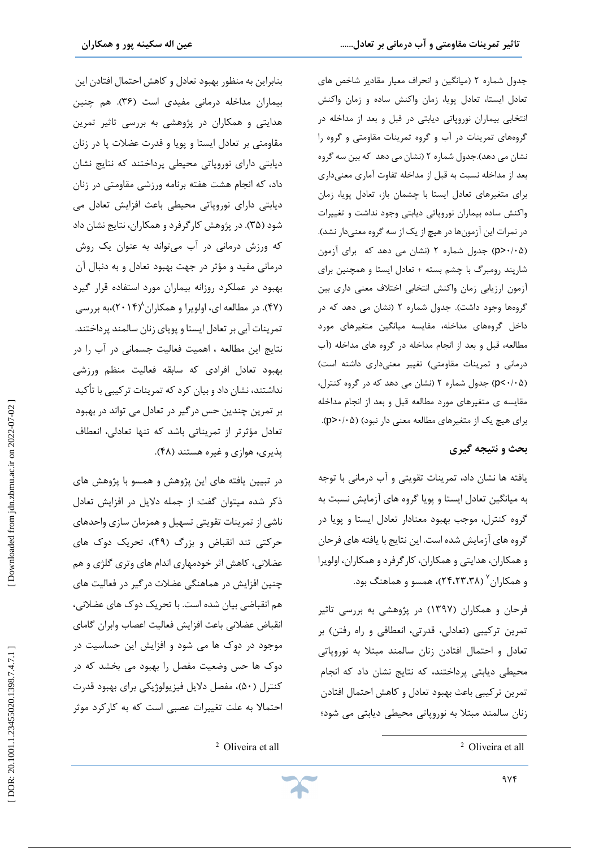جدول شماره ۲ (میانگین و انحراف معیار مقادیر شاخص های تعادل ایستا، تعادل پویا، زمان واکنش ساده و زمان واکنش انتخابی بیماران نوروپاتی دیابتی در قبل و بعد از مداخله در گروههای تمرینات در آب و گروه تمرینات مقاومتی و گروه را نشان می دهد).جدول شماره ۲ (نشان می دهد که بین سه گروه بعد از مداخله نسبت به قبل از مداخله تفاوت آماري معنیداري براي متغیرهاي تعادل ایستا با چشمان باز، تعادل پویا، زمان واکنش ساده بیماران نوروپاتی دیابتی وجود نداشت و تغییرات در نمرات این آزمونها در هیچ از یک از سه گروه معنیدار نشد). (نشان می دهد که براي آزمون <p (جدول شماره 2 0 /05 ) شارپند رومبرگ با چشم بسته + تعادل ایستا و همچنین برای آزمون ارزیابی زمان واکنش انتخابی اختلاف معنی داري بین گروهها وجود داشت). جدول شماره ۲ (نشان می دهد که در داخل گروههاي مداخله، مقایسه میانگین متغیرهاي مورد مطالعه، قبل و بعد از انجام مداخله در گروه های مداخله (آب درمانی و تمرینات مقاومتی) تغییر معنیداری داشته است) (نشان می دهد که در گروه کنترل، >p (جدول شماره 2 0 /05 ) مقایسه ی متغیرهای مورد مطالعه قبل و بعد از انجام مداخله .(p > 0 /05 براي هیچ یک از متغیرهاي مطالعه معنی دار نبود) (

### **بحث و نتیجه گیري**

یافته ها نشان داد، تمرینات تقویتی و آب درمانی با توجه به میانگین تعادل ایستا و پویا گروه هاي آزمایش نسبت به گروه کنترل، موجب بهبود معنادار تعادل ایستا و پویا در گروه هاي آزمایش شده است. این نتایج با یافته هاي فرحان و همکاران، هدایتی و همکاران، کارگرفرد و همکاران، اولویرا و همکاران<sup>۷</sup> (۲۴،۲۳،۳۸)، همسو و هماهنگ بود.

فرحان و همکاران (۱۳۹۷) در پژوهشی به بررسی تاثیر تمرین ترکیبی (تعادلی، قدرتی، انعطافی و راه رفتن) بر احتمال افتادن زنان سالمند مبتلا به نوروپاتی تعادل و محیطی دیابتی پرداختند، که نتایج نشان داد که انجام تمرین ترکیبی باعث بهبود تعادل و کاهش احتمال افتادن زنان سالمند مبتلا به نوروپاتی محیطی دیابتی می شود؛

 $\overline{a}$ 

 $9Yf$ 

بنابراین به منظور بهبود تعادل و کاهش احتمال افتادن این بیماران مداخله درمانی مفیدی است (۳۶). هم چنین هدایتی و همکاران در پژوهشی به بررسی تاثیر تمرین مقاومتی بر تعادل ایستا و پویا و قدرت عضلات پا در زنان دیابتی داراي نوروپاتی محیطی پرداختند که نتایج نشان داد، که انجام هشت هفته برنامه ورزشی مقاومتی در زنان دیابتی داراي نوروپاتی محیطی باعث افزایش تعادل می شود (۳۵). در پژوهش کارگرفرد و همکاران، نتایج نشان داد که ورزش درمانی در آب میتواند به عنوان یک روش درمانی مفید و مؤثر در جهت بهبود تعادل و به دنبال آن بهبود در عملکرد روزانه بیماران مورد استفاده قرار گیرد (۴۷). در مطالعه ای، اولویرا و همکاران^(۲۰۱۴)،به بررسی (۴۷). در مطالعه ای، اولویرا و همکاران^(۲۰۱۴)،به بررسی<br>تمرینات آبی بر تعادل ایستا و پویای زنان سالمند پرداختند. نتایج این مطالعه ، اهمیت فعالیت جسمانی در آب را در بهبود تعادل افرادى که سابقه فعالیت منظم ورزشى نداشتند، نشان داد و بیان کرد که تمرینات ترکیبی با تأکید بر تمرین چندین حس درگیر در تعادل مى تواند در بهبود تعادل مؤثرتر از تمریناتى باشد که تنها تعادلى، انعطاف پذیری، هوازی و غیره هستند (۴۸).

در تبیین یافته هاي این پژوهش و همسو با پژوهش هاي ذکر شده میتوان گفت: از جمله دلایل در افزایش تعادل<br>ناشی از تمرینات تقویتی تسهیل و همزمان سازی واحدهای حرکتی تند انقباض و بزرگ (۴۹)، تحریک دوک های عضلانی، کاهش اثر خودمهاری اندام های وتری گلژی و هم چنین افزایش در هماهنگی عضلات درگیر در فعالیت های<br>هم انقباضی بیان شده است. با تحریک دوک های عضلانی، انقباض عضلانی باعث افزایش فعالیت اعصاب وابران گاماي موجود در دوک ها می شود و افزایش این حساسیت در دوك ها حس وضعیت مفصل را بهبود می بخشد که در کنترل (۵۰)، مفصل دلایل فیزیولوژیکی برای بهبود قدرت احتمالا به علت تغییرات عصبی است که به کارکرد موثر<br>Oliveira et all <sup>2</sup>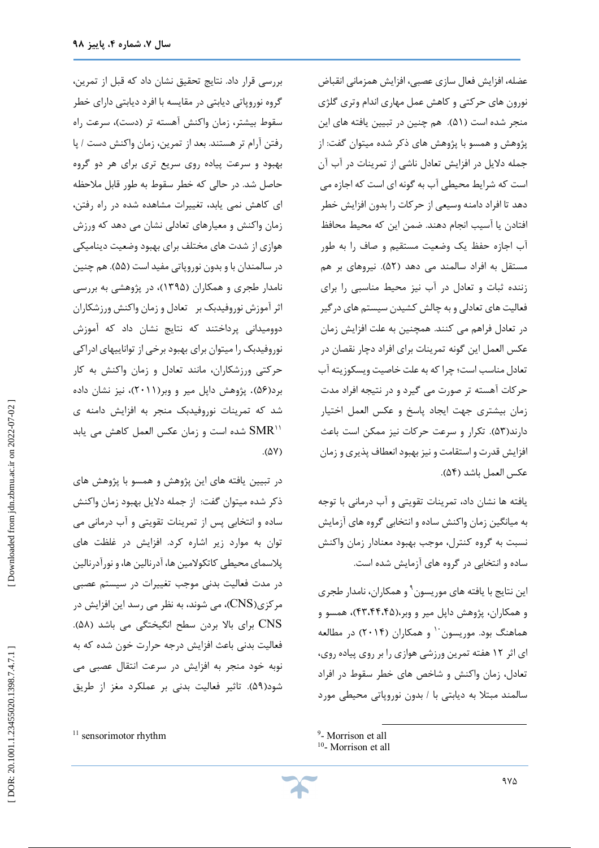بررسی قرار داد. نتایج تحقیق نشان داد که قبل از تمرین، گروه نوروپاتی دیابتی در مقایسه با افرد دیابتی داراي خطر سقوط بیشتر، زمان واکنش آهسته تر (دست)، سرعت راه رفتن آرام تر هستند. بعد از تمرین، زمان واکنش دست / پا سرعت پیاده روي سریع تري براي هر دو گروه بهبود و حاصل شد. در حالی که خطر سقوط به طور قابل ملاحظه اي کاهش نمی یابد، تغییرات مشاهده شده در راه رفتن، زمان واکنش و معیارهای تعادلی نشان می دهد که ورزش هوازي از شدت هاي مختلف براي بهبود وضعیت دینامیکی در سالمندان با و بدون نوروپاتی مفید است (۵۵). هم چنین نامدار طجری و همکاران (۱۳۹۵)، در پژوهشی به بررسی اثر آموزش نوروفیدبک بر تعادل و زمان واکنش ورزشکاران دوومیدانی پرداختند که نتایج نشان داد که آموزش نوروفیدبک را میتوان براي بهبود برخی از تواناییهاي ادراکی حرکتی ورزشکاران، مانند تعادل و زمان واکنش به کار برد(۵۶). پژوهش داپل میر و وبر(۲۰۱۱)، نیز نشان داده شد که تمرینات نوروفیدبک منجر به افزایش دامنه ي شده است و زمان عکس العمل کاهش می یابد  $\text{SMR}^{\text{11}}$ (۵۷).

در تبیین یافته هاي این پژوهش و همسو با پژوهش هاي ذکر شده میتوان گفت: از جمله دلایل بهبود زمان واکنش<br>ساده و انتخابی پس از تمرینات تقویتی و آب درمانی می توان به موارد زیر اشاره کرد. افزایش در غلظت هاي پلاسمای محیطی کاتکولامین ها، آدرنالین ها، و نورآدرنالین در مدت فعالیت بدنی موجب تغییرات در سیستم عصبی مرکزي(CNS)، مي شوند، به نظر مي رسد اين افزايش در . (58 CNS براي بالا بردن سطح انگیختگی می باشد ( فعالیت بدنی باعث افزایش درجه حرارت خون شده که به نوبه خود منجر به افزایش در سرعت انتقال عصبی می شود(۵۹). تاثیر فعالیت بدنی بر عملکرد مغز از طریق

<sup>11</sup> sensorimotor rhythm

عضله، افزایش فعال سازي عصبی، افزایش همزمانی انقباض نورون های حرکتی و کاهش عمل مهاری اندام وتری گلژی منجر شده است (۵۱). هم چنین در تبیین یافته های این پژوهش و همسو با پژوهش هاي ذکر شده میتوان گفت: از جمله دلایل در افزایش تعادل ناشی از تمرینات در آب آن است که شرایط محیطی آب به گونه اي است که اجازه مى دهد تا افراد دامنه وسیعى از حرکات را بدون افزایش خطر افتادن یا آسیب انجام دهند. ضمن این که محیط محافظ آب اجازه حفظ یک وضعیت مستقیم و صاف را به طور مستقل به افراد سالمند مى دهد (۵۲). نیروهاى بر هم زننده ثبات و تعادل در آب نیز محیط مناسبی را برای فعالیت هاى تعادلى و به چالش كشیدن سیستم هاى درگیر در تعادل فراهم مى کنند. همچنین به علت افزایش زمان عکس العمل این گونه تمرینات براى افراد دچار نقصان در تعادل مناسب است؛ چرا که به علت خاصیت ویسکوزیته آب حرکات آهسته تر صورت می گیرد و در نتیجه افراد مدت زمان بیشتری جهت ایجاد پاسخ و عکس العمل اختیار دارند(۵۳). تکرار و سرعت حرکات نیز ممکن است باعث افزایش قدرت و استقامت و نیز بهبود انعطاف پذیری و زمان .(54 عکس العمل باشد (

یافته ها نشان داد، تمرینات تقویتی و آب درمانی با توجه به میانگین زمان واکنش ساده و انتخابی گروه هاي آزمایش نسبت به گروه کنترل، موجب بهبود معنادار زمان واکنش ساده و انتخابی در گروه هاي آزمایش شده است.

این نتایج با یافته های موریسون<sup>۹</sup> و همکاران، نامدار طجری و همکاران، پژوهش داپل میر و وبر،(۴۴،۴۴،۴۵)، همسو و هماهنگ بود. موریسون <sup>۱۰</sup> و همکاران (۲۰۱۴) در مطالعه اي اثر 12 هفته تمرین ورزشی هوازي را بر روي پیاده روي، تعادل، زمان واکنش و شاخص های خطر سقوط در افراد سالمند مبتلا به دیابتی با / بدون نوروپاتی محیطی مورد

 $\overline{\phantom{a}}$ 

<sup>9</sup> - Morrison et all

<sup>&</sup>lt;sup>10</sup>- Morrison et all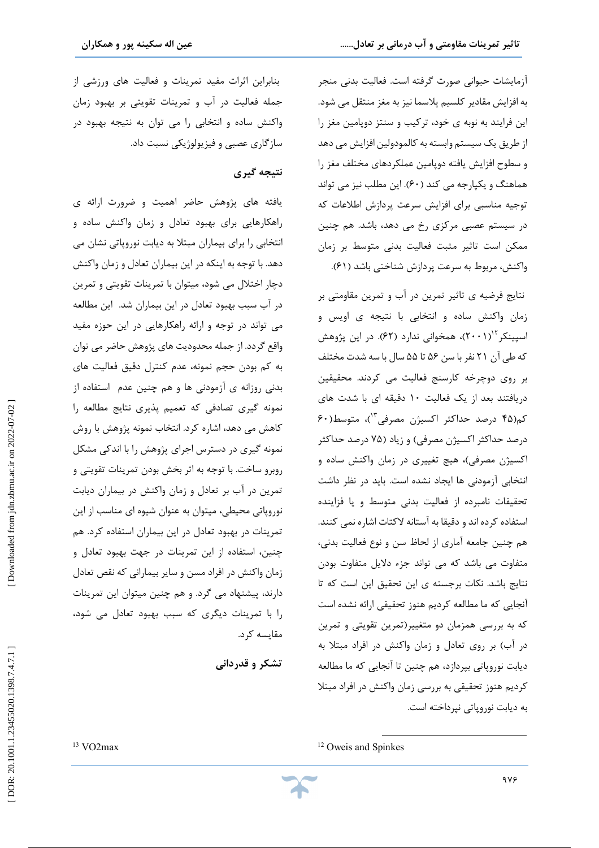آزمایشات حیوانی صورت گرفته است. فعالیت بدنی منجر به افزایش مقادیر کلسیم پلاسما نیز به مغز منتقل می شود. این فرایند به نوبه ی خود، ترکیب و سنتز دوپامین مغز را از طریق یک سیستم وابسته به کالمودولین افزایش می دهد سطوح افزایش یافته دوپامین عملکردهاي مختلف مغز را و هماهنگ و یکپارجه می کند (۶۰). این مطلب نیز می تواند توجیه مناسبی براي افزایش سرعت پردازش اطلاعات که در سیستم عصبی مرکزي رخ می دهد، باشد. هم چنین ممکن است تاثیر مثبت فعالیت بدنی متوسط بر زمان .(61 واکنش، مربوط به سرعت پردازش شناختی باشد (

نتايج فرضيه ی تاثير تمرين در آب و تمرين مقاومتی بر زمان واکنش ساده و انتخابی با نتیجه ی اویس و اسپینکر ۱٬<sup>۲</sup>(۲۰۰۱)، همخوانی ندارد (۶۲). در این پژوهش که طی آن 21 نفربا سن 56 تا 55 سال با سه شدت مختلف بر روي دوچرخه کارسنج فعالیت می کردند. محقیقین دریافتند بعد از یک فعالیت 10 دقیقه اي با شدت هاي کم(۴۵ درصد حداکثر اکسیژن مصرفی<sup>۱۳</sup>)، متوسط(۶۰ درصد حداکثر اکسیژن مصرفی) و زیاد (۷۵ درصد حداکثر اکسیژن مصرفی)، هیچ تغییری در زمان واکنش ساده و انتخابی آزمودنی ها ایجاد نشده است. باید در نظر داشت<br>تحقیقات نامبرده از فعالیت بدنی متوسط و یا فزاینده استفاده کرده اند و دقیقا به آستانه لاکتات اشاره نمی کنند. هم چنین جامعه آماری از لحاظ سن و نوع فعالیت بدنی، متفاوت می باشد که می تواند جزء دلایل متفاوت بودن نتایج باشد. نکات برجسته ي این تحقیق این است که تا آنجایی که ما مطالعه کردیم هنوز تحقیقی ارائه نشده است که به بررسی همزمان دو متغییر(تمرین تقویتی و تمرین در آب) بر روي تعادل و زمان واکنش در افراد مبتلا به دیابت نوروپاتی بپردازد، هم چنین تا آنجایی که ما مطالعه کردیم هنوز تحقیقی به بررسی زمان واکنش در افراد مبتلا به دیابت نوروپاتی نپرداخته است.

بنابراین اثرات مفید تمرینات و فعالیت های ورزشی از جمله فعالیت در آب و تمرینات تقویتی بر بهبود زمان واکنش ساده و انتخابی را می توان به نتیجه بهبود در سازگاری عصبی و فیزیولوژیکی نسبت داد.

# **نتیجه گیري**

یافته هاي پژوهش حاضر اهمیت و ضرورت ارائه ي راهکارهایی براي بهبود تعادل و زمان واکنش ساده و انتخابی را براي بیماران مبتلا به دیابت نوروپاتی نشان می دهد. با توجه به اینکه در این بیماران تعادل و زمان واکنش دچار اختلال می شود، میتوان با تمرینات تقویتی و تمرین در آب سبب بهبود تعادل در این بیماران شد. این مطالعه می تواند در توجه و ارائه راهکارهایی در این حوزه مفید واقع گردد. از جمله محدودیت هاي پژوهش حاضر می توان به کم بودن حجم نمونه، عدم کنترل دقیق فعالیت هاي بدنی روزانه ي آزمودنی ها و هم چنین عدم استفاده از نمونه گیري تصادفی که تعمیم پذیري نتایج مطالعه را کاهش می دهد، اشاره کرد. انتخاب نمونه پژوهش با روش نمونه گیري در دسترس اجراي پژوهش را با اندکی مشکل روبرو ساخت. با توجه به اثر بخش بودن تمرینات تقویتی و تمرین در آب بر تعادل و زمان واکنش در بیماران دیابت نوروپاتی محیطی، میتوان به عنوان شیوه اي مناسب از این تمرینات در بهبود تعادل در این بیماران استفاده کرد. هم چنین، استفاده از این تمرینات در جهت بهبود تعادل و زمان واکنش در افراد مسن و سایر بیمارانی که نقص تعادل دارند، پیشنهاد می گرد. و هم چنین میتوان این تمرینات را با تمرینات دیگري که سبب بهبود تعادل می شود، مقایسه کرد.

**قدردانی تشکر و**

 $\overline{a}$ <sup>12</sup> Oweis and Spinkes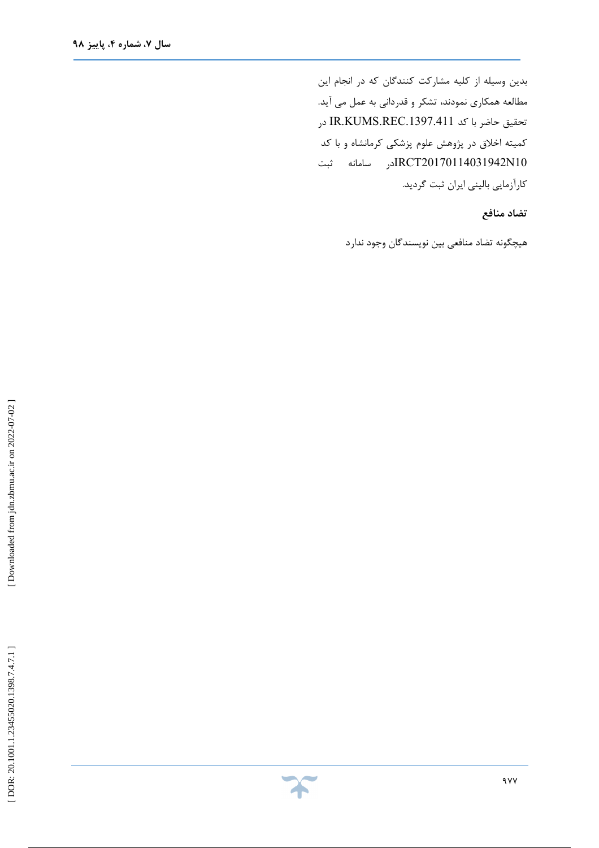بدین وسیله از کلیه مشارکت کنندگان که در انجام این مطالعه همکاری نمودند، تشکر و قدردانی به عمل می آید. تحقیق حاضر با کد .1397.411REC.KUMS.IR در کمیته اخلاق در پژوهش علوم پزشکی کرمانشاه و با کد 10N20170114031942IRCTدر سامانه ثبت کارآزمایی بالینی ایران ثبت گردید.

**تضاد منافع** 

هیچگونه تضاد منافعی بین نویسندگان وجود ندارد

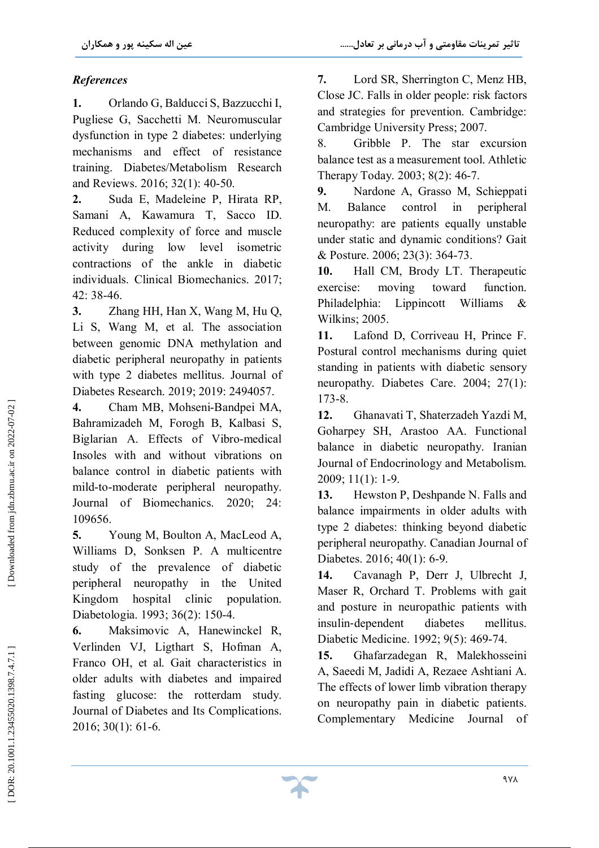# *References*

**1.** Orlando G, Balducci S, Bazzucchi I, Pugliese G, Sacchetti M. Neuromuscular dysfunction in type 2 diabetes: underlying mechanisms and effect of resistance training. Diabetes/Metabolism Research and Reviews. 2016; 32(1): 40 -50.

**2.** Suda E, Madeleine P, Hirata RP, Samani A, Kawamura T, Sacco ID. Reduced complexity of force and muscle activity during low level isometric contractions of the ankle in diabetic individuals. Clinical Biomechanics. 2017; 42: 38 -46.

**3.** Zhang HH, Han X, Wang M, Hu Q, Li S, Wang M, et al. The association between genomic DNA methylation and diabetic peripheral neuropathy in patients with type 2 diabetes mellitus. Journal of Diabetes Research. 2019; 2019: 2494057.

**4.** Cham MB, Mohseni -Bandpei MA, Bahramizadeh M, Forogh B, Kalbasi S, Biglarian A. Effects of Vibro -medical Insoles with and without vibrations on balance control in diabetic patients with mild -to -moderate peripheral neuropathy. Journal of Biomechanics. 2020; 24: 109656.

**5.** Young M, Boulton A, MacLeod A, Williams D, Sonksen P. A multicentre study of the prevalence of diabetic peripheral neuropathy in the United Kingdom hospital clinic population. Diabetologia. 1993; 36(2): 150 -4.

**6.** Maksimovic A, Hanewinckel R, Verlinden VJ, Ligthart S, Hofman A, Franco OH, et al. Gait characteristics in older adults with diabetes and impaired fasting glucose: the rotterdam study. Journal of Diabetes and Its Complications. 2016; 30(1): 61 -6.

**7.** Lord SR, Sherrington C, Menz HB, Close JC. Falls in older people: risk factors and strategies for prevention. Cambridge: Cambridge University Press; 2007.

8. Gribble P. The star excursion balance test as a measurement tool. Athletic Therapy Today. 2003; 8(2): 46 -7.

**9.** Nardone A, Grasso M, Schieppati M. Balance control in peripheral neuropathy: are patients equally unstable under static and dynamic conditions? Gait & Posture. 2006; 23(3): 364 -73.

**10.** Hall CM, Brody LT. Therapeutic exercise: moving toward function. Philadelphia: Lippincott Williams & Wilkins; 2005.

**11.** Lafond D, Corriveau H, Prince F. Postural control mechanisms during quiet standing in patients with diabetic sensory neuropathy. Diabetes Care. 2004; 27(1): 173 -8.

**12.** Ghanavati T, Shaterzadeh Yazdi M, Goharpey SH, Arastoo AA. Functional balance in diabetic neuropathy. Iranian Journal of Endocrinology and Metabolism. 2009; 11(1): 1 -9.

**13.** Hewston P, Deshpande N. Falls and balance impairments in older adults with type 2 diabetes: thinking beyond diabetic peripheral neuropathy. Canadian Journal of Diabetes. 2016; 40(1): 6 -9.

**14.** Cavanagh P, Derr J, Ulbrecht J, Maser R, Orchard T. Problems with gait and posture in neuropathic patients with insulin ‐dependent diabetes mellitus. Diabetic Medicine. 1992; 9(5): 469 -74.

**15.** Ghafarzadegan R, Malekhosseini A, Saeedi M, Jadidi A, Rezaee Ashtiani A. The effects of lower limb vibration therapy on neuropathy pain in diabetic patients. Complementary Medicine Journal of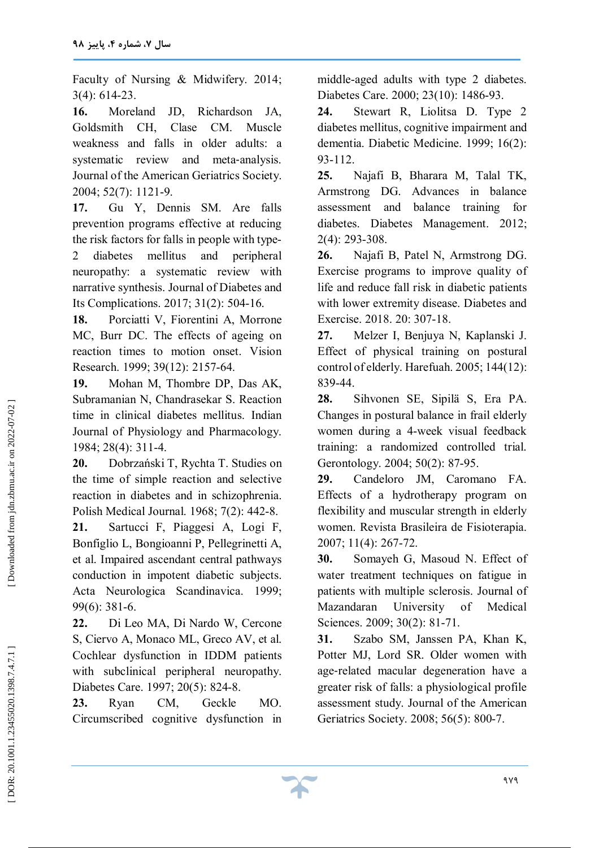Faculty of Nursing & Midwifery. 2014; 3(4): 614 -23.

**16.** Moreland JD, Richardson JA, Goldsmith CH, Clase CM. Muscle weakness and falls in older adults: a systematic review and meta-analysis. Journal of the American Geriatrics Society. 2004; 52(7): 1121 -9.

**17.** Gu Y, Dennis SM. Are falls prevention programs effective at reducing the risk factors for falls in people with type - 2 diabetes mellitus and peripheral neuropathy: a systematic review with narrative synthesis. Journal of Diabetes and Its Complications. 2017; 31(2): 504 -16.

**18.** Porciatti V, Fiorentini A, Morrone MC, Burr DC. The effects of ageing on reaction times to motion onset. Vision Research. 1999; 39(12): 2157 -64.

**19.** Mohan M, Thombre DP, Das AK, Subramanian N, Chandrasekar S. Reaction time in clinical diabetes mellitus. Indian Journal of Physiology and Pharmacology. 1984; 28(4): 311 -4.

**20.** Dobrzański T, Rychta T. Studies on the time of simple reaction and selective reaction in diabetes and in schizophrenia. Polish Medical Journal. 1968; 7(2): 442 -8.

**21.** Sartucci F, Piaggesi A, Logi F, Bonfiglio L, Bongioanni P, Pellegrinetti A, et al. Impaired ascendant central pathways conduction in impotent diabetic subjects. Acta Neurologica Scandinavica. 1999; 99(6): 381 -6.

**22.** Di Leo MA, Di Nardo W, Cercone S, Ciervo A, Monaco ML, Greco AV, et al. Cochlear dysfunction in IDDM patients with subclinical peripheral neuropathy. Diabetes Care. 1997; 20(5): 824 -8.

**23.** Ryan CM, Geckle MO. Circumscribed cognitive dysfunction in middle -aged adults with type 2 diabetes. Diabetes Care. 2000; 23(10): 1486 -93.

**24.** Stewart R, Liolitsa D. Type 2 diabetes mellitus, cognitive impairment and dementia. Diabetic Medicine. 1999; 16(2): 93 -112.

**25.** Najafi B, Bharara M, Talal TK, Armstrong DG. Advances in balance assessment and balance training for diabetes. Diabetes Management. 2012; 2(4): 293 -308.

**26.** Najafi B, Patel N, Armstrong DG. Exercise programs to improve quality of life and reduce fall risk in diabetic patients with lower extremity disease. Diabetes and Exercise. 2018. 20: 307 -18.

**27.** Melzer I, Benjuya N, Kaplanski J. Effect of physical training on postural control of elderly. Harefuah. 2005; 144(12): 839 -44.

**28.** Sihvonen SE, Sipilä S, Era PA. Changes in postural balance in frail elderly women during a 4 -week visual feedback training: a randomized controlled trial. Gerontology. 2004; 50(2): 87 -95.

**29.** Candeloro JM, Caromano FA. Effects of a hydrotherapy program on flexibility and muscular strength in elderly women. Revista Brasileira de Fisioterapia. 2007; 11(4): 267 -72.

**30.** Somayeh G, Masoud N. Effect of water treatment techniques on fatigue in patients with multiple sclerosis. Journal of Mazandaran University of Medical Sciences. 2009; 30(2): 81-71.

**31.** Szabo SM, Janssen PA, Khan K, Potter MJ, Lord SR. Older women with age ‐related macular degeneration have a greater risk of falls: a physiological profile assessment study. Journal of the American Geriatrics Society. 2008; 56(5): 800 -7.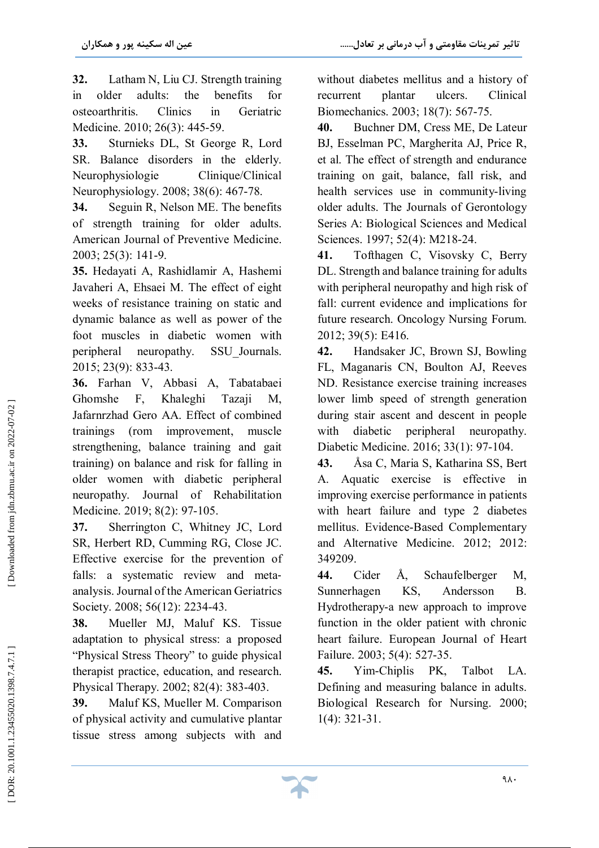**32.** Latham N, Liu CJ. Strength training in older adults: the benefits for osteoarthritis. Clinics in Geriatric Medicine. 2010; 26(3): 445 -59.

**33.** Sturnieks DL, St George R, Lord SR. Balance disorders in the elderly. Neurophysiologie Clinique/Clinical Neurophysiology. 2008; 38(6): 467 -78.

**34.** Seguin R, Nelson ME. The benefits of strength training for older adults. American Journal of Preventive Medicine. 2003; 25(3): 141 -9.

**35.** Hedayati A, Rashidlamir A, Hashemi Javaheri A, Ehsaei M. The effect of eight weeks of resistance training on static and dynamic balance as well as power of the foot muscles in diabetic women with peripheral neuropathy. SSU\_Journals. 2015; 23(9): 833 -43.

**36.** Farhan V, Abbasi A, Tabatabaei Ghomshe F, Khaleghi Tazaji M, Jafarnrzhad Gero AA. Effect of combined trainings (rom improvement, muscle strengthening, balance training and gait training) on balance and risk for falling in older women with diabetic peripheral neuropathy. Journal of Rehabilitation Medicine. 2019; 8(2): 97 -105.

**37.** Sherrington C, Whitney JC, Lord SR, Herbert RD, Cumming RG, Close JC. Effective exercise for the prevention of falls: a systematic review and metaanalysis. Journal of the American Geriatrics Society. 2008; 56(12): 2234-43.

**38.** Mueller MJ, Maluf KS. Tissue adaptation to physical stress: a proposed "Physical Stress Theory" to guide physical therapist practice, education, and research. Physical Therapy. 2002; 82(4): 383 -403.

**39.** Maluf KS, Mueller M. Comparison of physical activity and cumulative plantar tissue stress among subjects with and

without diabetes mellitus and a history of recurrent plantar ulcers. Clinical Biomechanics. 2003; 18(7): 567 -75.

**40.** Buchner DM, Cress ME, De Lateur BJ, Esselman PC, Margherita AJ, Price R, et al. The effect of strength and endurance training on gait, balance, fall risk, and health services use in community-living older adults. The Journals of Gerontology Series A: Biological Sciences and Medical Sciences. 1997; 52(4): M218 -24.

**41.** Tofthagen C, Visovsky C, Berry DL. Strength and balance training for adults with peripheral neuropathy and high risk of fall: current evidence and implications for future research. Oncology Nursing Forum. 2012; 39(5): E416.

**42.** Handsaker JC, Brown SJ, Bowling FL, Maganaris CN, Boulton AJ, Reeves ND. Resistance exercise training increases lower limb speed of strength generation during stair ascent and descent in people with diabetic peripheral neuropathy. Diabetic Medicine. 2016; 33(1): 97 -104.

**43.** Åsa C, Maria S, Katharina SS, Bert A. Aquatic exercise is effective in improving exercise performance in patients with heart failure and type 2 diabetes mellitus. Evidence -Based Complementary and Alternative Medicine. 2012; 2012: 349209.

**44.** Cider Å, Schaufelberger M, Sunnerhagen KS, Andersson B. Hydrotherapy -a new approach to improve function in the older patient with chronic heart failure. European Journal of Heart Failure. 2003; 5(4): 527 -35.

**45.** Yim -Chiplis PK, Talbot LA. Defining and measuring balance in adults. Biological Research for Nursing. 2000; 1(4): 321 -31.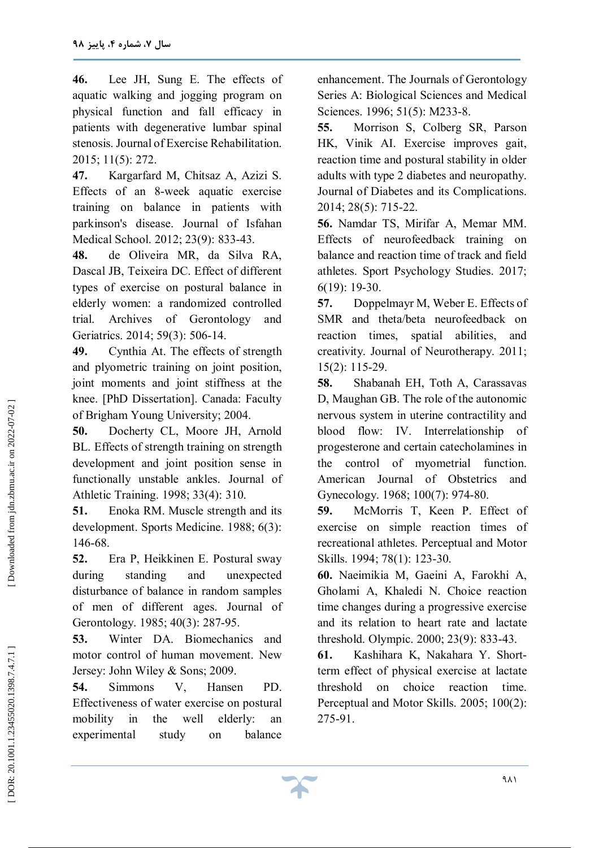**46.** Lee JH, Sung E. The effects of aquatic walking and jogging program on physical function and fall efficacy in patients with degenerative lumbar spinal stenosis. Journal of Exercise Rehabilitation. 2015; 11(5): 272.

**47.** Kargarfard M, Chitsaz A, Azizi S. Effects of an 8 -week aquatic exercise training on balance in patients with parkinson's disease. Journal of Isfahan Medical School. 2012; 23(9): 833 -43.

**48.** de Oliveira MR, da Silva RA, Dascal JB, Teixeira DC. Effect of different types of exercise on postural balance in elderly women: a randomized controlled trial. Archives of Gerontology and Geriatrics. 2014; 59(3): 506 -14.

**49.** Cynthia At. The effects of strength and plyometric training on joint position, joint moments and joint stiffness at the knee. [PhD Dissertation]. Canada: Faculty of Brigham Young University; 2004 .

**50.** Docherty CL, Moore JH, Arnold BL. Effects of strength training on strength development and joint position sense in functionally unstable ankles. Journal of Athletic Training. 1998; 33(4): 310.

**51.** Enoka RM. Muscle strength and its development. Sports Medicine. 1988; 6(3): 146 -68.

**52.** Era P, Heikkinen E. Postural sway during standing and unexpected disturbance of balance in random samples of men of different ages. Journal of Gerontology. 1985; 40(3): 287 -95.

**53.** Winter DA. Biomechanics and motor control of human movement. New Jersey: John Wiley & Sons; 2009.

**54.** Simmons V, Hansen PD. Effectiveness of water exercise on postural mobility in the well elderly: an experimental study on balance

enhancement. The Journals of Gerontology Series A: Biological Sciences and Medical Sciences. 1996; 51(5): M233 -8.

**55.** Morrison S, Colberg SR, Parson HK, Vinik AI. Exercise improves gait, reaction time and postural stability in older adults with type 2 diabetes and neuropathy. Journal of Diabetes and its Complications. 2014; 28(5): 715 -22.

**56.** Namdar TS, Mirifar A, Memar MM. Effects of neurofeedback training on balance and reaction time of track and field athletes. Sport Psychology Studies. 2017; 6(19): 19 -30.

**57.** Doppelmayr M, Weber E. Effects of SMR and theta/beta neurofeedback on reaction times, spatial abilities, and creativity. Journal of Neurotherapy. 2011; 15(2): 115 -29.

**58.** Shabanah EH, Toth A, Carassavas D, Maughan GB. The role of the autonomic nervous system in uterine contractility and blood flow: IV. Interrelationship of progesterone and certain catecholamines in the control of myometrial function. American Journal of Obstetrics and Gynecology. 1968; 100(7): 974-80.

**59.** McMorris T, Keen P. Effect of exercise on simple reaction times of recreational athletes. Perceptual and Motor Skills. 1994; 78(1): 123 -30.

**60.** Naeimikia M, Gaeini A, Farokhi A, Gholami A, Khaledi N. Choice reaction time changes during a progressive exercise and its relation to heart rate and lactate threshold. Olympic. 2000; 23(9): 833 -43.

**61.** Kashihara K, Nakahara Y. Short term effect of physical exercise at lactate threshold on choice reaction time. Perceptual and Motor Skills. 2005; 100(2): 275 -91.